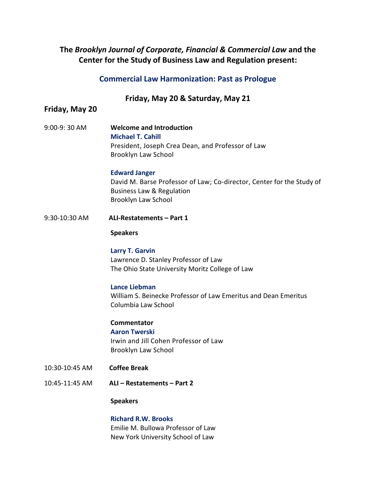# **The** *[Brooklyn Journal of Corporate, Financial & Commercial Law](http://brooklynworks.brooklaw.edu/bjcfcl/)* **and the [Center for the Study of Business Law and Regulation](https://www.brooklaw.edu/intellectuallife/centerforbusinesslawregulation/overview) present:**

# **Commercial Law Harmonization: Past as Prologue**

### **Friday, May 20 & Saturday, May 21**

## **Friday, May 20**

9:00-9: 30 AM **Welcome and Introduction [Michael T. Cahill](https://www.brooklaw.edu/Contact-Us/Cahill-Michael)** President, Joseph Crea Dean, and Professor of Law Brooklyn Law School

#### **[Edward Janger](https://www.brooklaw.edu/Contact-Us/Janger-Edward)**

David M. Barse Professor of Law; Co-director, Center for the Study of Business Law & Regulation Brooklyn Law School

9:30-10:30 AM **ALI-Restatements – Part 1**

#### **Speakers**

**[Larry T. Garvin](https://moritzlaw.osu.edu/larry-t-garvin)** Lawrence D. Stanley Professor of Law The Ohio State University Moritz College of Law

### **[Lance Liebman](https://www.law.columbia.edu/faculty/lance-liebman)**

William S. Beinecke Professor of Law Emeritus and Dean Emeritus Columbia Law School

### **Commentator [Aaron Twerski](https://www.brooklaw.edu/Contact-Us/Twerski-Aaron)** Irwin and Jill Cohen Professor of Law Brooklyn Law School

- 10:30-10:45 AM **Coffee Break**
- 10:45-11:45 AM **ALI – Restatements – Part 2**

#### **Speakers**

**[Richard R.W. Brooks](https://its.law.nyu.edu/facultyprofiles/index.cfm?fuseaction=profile.overview&personid=43731)** Emilie M. Bullowa Professor of Law New York University School of Law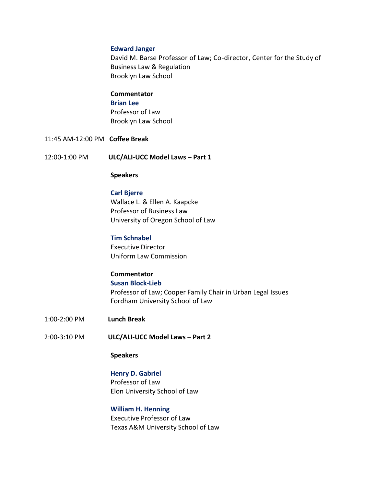#### **[Edward Janger](https://www.brooklaw.edu/Contact-Us/Janger-Edward)**

David M. Barse Professor of Law; Co-director, Center for the Study of Business Law & Regulation Brooklyn Law School

#### **Commentator**

#### **[Brian Lee](https://www.brooklaw.edu/Contact-Us/Lee-Brian)**

Professor of Law Brooklyn Law School

11:45 AM-12:00 PM **Coffee Break**

12:00-1:00 PM **ULC/ALI-UCC Model Laws – Part 1**

#### **Speakers**

**[Carl Bjerre](https://law.uoregon.edu/people/directory/cbjerre)** Wallace L. & Ellen A. Kaapcke Professor of Business Law University of Oregon School of Law

### **[Tim Schnabel](https://www.uniformlaws.org/aboutulc/staff)**

Executive Director Uniform Law Commission

# **Commentator**

**[Susan Block-Lieb](https://www.fordham.edu/info/23119/susan_block-lieb)**

Professor of Law; Cooper Family Chair in Urban Legal Issues Fordham University School of Law

- 1:00-2:00 PM **Lunch Break**
- 2:00-3:10 PM **ULC/ALI-UCC Model Laws – Part 2**

### **Speakers**

**[Henry D. Gabriel](https://www.elon.edu/u/news/2019/03/13/elon-law-scholar-awarded-fulbright-distinguished-chair-in-law/)** Professor of Law Elon University School of Law

**[William H.](https://law.tamu.edu/faculty-staff/find-people/faculty-profiles/william-h-henning) Henning** Executive Professor of Law Texas A&M University School of Law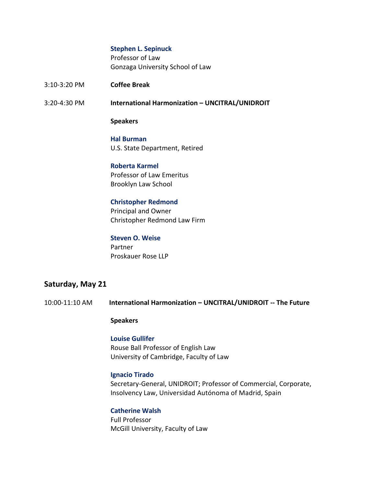#### **[Stephen L. Sepinuck](https://www.gonzaga.edu/school-of-law/regular-faculty/detail/sepinuck)**

Professor of Law Gonzaga University School of Law

3:10-3:20 PM **Coffee Break**

3:20-4:30 PM **International Harmonization – UNCITRAL/UNIDROIT**

#### **Speakers**

### **Hal Burman** U.S. State Department, Retired

### **[Roberta Karmel](https://www.brooklaw.edu/Contact-Us/Karmel-Roberta)**  Professor of Law Emeritus Brooklyn Law School

#### **[Christopher](http://christopherredmondlawfirm.com/) Redmond**

Principal and Owner Christopher Redmond Law Firm

#### **[Steven O. Weise](https://www.proskauer.com/professionals/steven-weise)**

Partner Proskauer Rose LLP

### **Saturday, May 21**

10:00-11:10 AM **International Harmonization – UNCITRAL/UNIDROIT -- The Future**

#### **Speakers**

## **[Louise Gullifer](https://www.law.cam.ac.uk/people/academic/l-gullifer/78501)** Rouse Ball Professor of English Law University of Cambridge, Faculty of Law

#### **[Ignacio Tirado](https://www.unidroit.org/secretary-general-professor-ignacio-tirado-takes-office/)**

Secretary-General, UNIDROIT; Professor of Commercial, Corporate, Insolvency Law, Universidad Autónoma of Madrid, Spain

### **[Catherine Walsh](https://www.mcgill.ca/law/about/profs/walsh-catherine)**

Full Professor McGill University, Faculty of Law